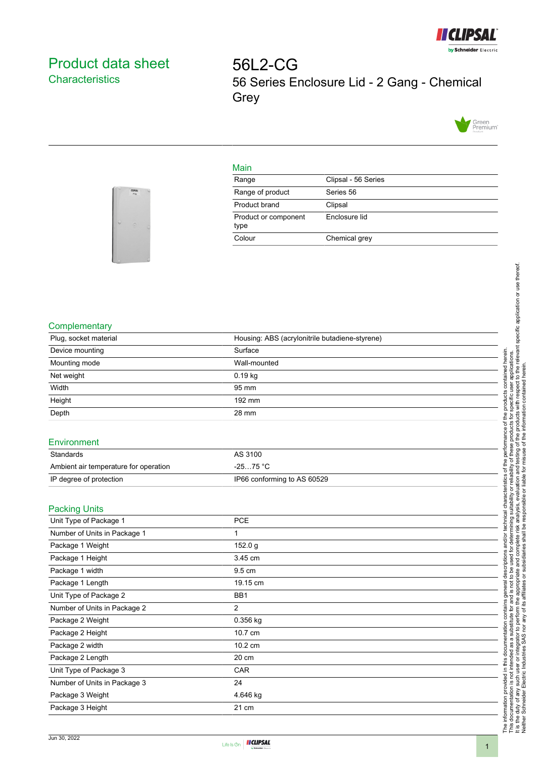

# <span id="page-0-0"></span>Product data sheet **Characteristics**

56L2-CG 56 Series Enclosure Lid - 2 Gang - Chemical **Grey** 



### Main

| Range                        | Clipsal - 56 Series |
|------------------------------|---------------------|
| Range of product             | Series 56           |
| Product brand                | Clipsal             |
| Product or component<br>type | Enclosure lid       |
| Colour                       | Chemical grey       |



## **Complementary**

| Plug, socket material | Housing: ABS (acrylonitrile butadiene-styrene) |  |
|-----------------------|------------------------------------------------|--|
| Device mounting       | Surface                                        |  |
| Mounting mode         | Wall-mounted                                   |  |
| Net weight            | $0.19$ kg                                      |  |
| Width                 | 95 mm                                          |  |
| Height                | 192 mm                                         |  |
| Depth                 | 28 mm                                          |  |
| Environment           |                                                |  |
| $\sim$ $\sim$ $\sim$  | $\sim$ $\sim$ $\sim$                           |  |

| Standards                             | AS 3100                     |
|---------------------------------------|-----------------------------|
| Ambient air temperature for operation | $-2575 °C$                  |
| IP degree of protection               | IP66 conforming to AS 60529 |

### Packing Units

| PCE      |
|----------|
| 1        |
| 152.0 g  |
| 3.45 cm  |
| 9.5 cm   |
| 19.15 cm |
| BB1      |
| 2        |
| 0.356 kg |
| 10.7 cm  |
| 10.2 cm  |
| 20 cm    |
| CAR      |
| 24       |
| 4.646 kg |
| 21 cm    |
|          |